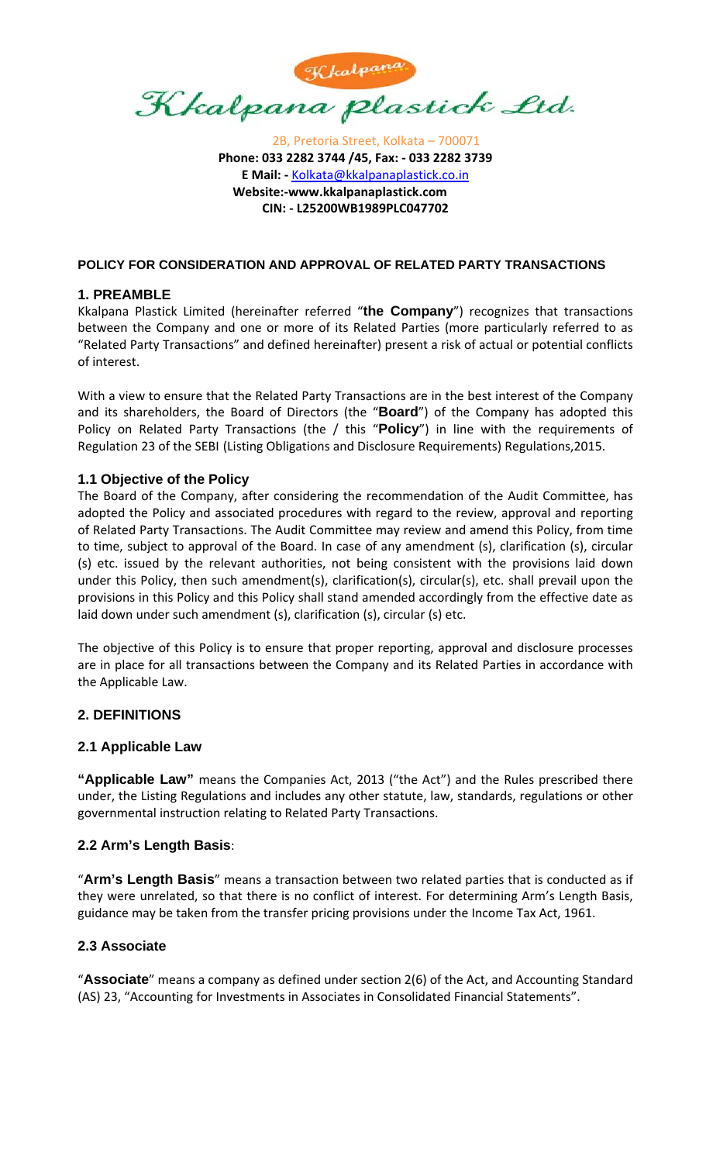

2B, Pretoria Street, Kolkata – 700071 **Phone: 033 2282 3744 /45, Fax: ‐ 033 2282 3739 E Mail: ‐** Kolkata@kkalpanaplastick.co.in **Website:‐www.kkalpanaplastick.com CIN: ‐ L25200WB1989PLC047702**

#### **POLICY FOR CONSIDERATION AND APPROVAL OF RELATED PARTY TRANSACTIONS**

## **1. PREAMBLE**

Kkalpana Plastick Limited (hereinafter referred "**the Company**") recognizes that transactions between the Company and one or more of its Related Parties (more particularly referred to as "Related Party Transactions" and defined hereinafter) present a risk of actual or potential conflicts of interest.

With a view to ensure that the Related Party Transactions are in the best interest of the Company and its shareholders, the Board of Directors (the "**Board**") of the Company has adopted this Policy on Related Party Transactions (the / this "**Policy**") in line with the requirements of Regulation 23 of the SEBI (Listing Obligations and Disclosure Requirements) Regulations,2015.

### **1.1 Objective of the Policy**

The Board of the Company, after considering the recommendation of the Audit Committee, has adopted the Policy and associated procedures with regard to the review, approval and reporting of Related Party Transactions. The Audit Committee may review and amend this Policy, from time to time, subject to approval of the Board. In case of any amendment (s), clarification (s), circular (s) etc. issued by the relevant authorities, not being consistent with the provisions laid down under this Policy, then such amendment(s), clarification(s), circular(s), etc. shall prevail upon the provisions in this Policy and this Policy shall stand amended accordingly from the effective date as laid down under such amendment (s), clarification (s), circular (s) etc.

The objective of this Policy is to ensure that proper reporting, approval and disclosure processes are in place for all transactions between the Company and its Related Parties in accordance with the Applicable Law.

### **2. DEFINITIONS**

### **2.1 Applicable Law**

**"Applicable Law"** means the Companies Act, 2013 ("the Act") and the Rules prescribed there under, the Listing Regulations and includes any other statute, law, standards, regulations or other governmental instruction relating to Related Party Transactions.

### **2.2 Arm's Length Basis**:

"**Arm's Length Basis**" means a transaction between two related parties that is conducted as if they were unrelated, so that there is no conflict of interest. For determining Arm's Length Basis, guidance may be taken from the transfer pricing provisions under the Income Tax Act, 1961.

### **2.3 Associate**

"**Associate**" means a company as defined under section 2(6) of the Act, and Accounting Standard (AS) 23, "Accounting for Investments in Associates in Consolidated Financial Statements".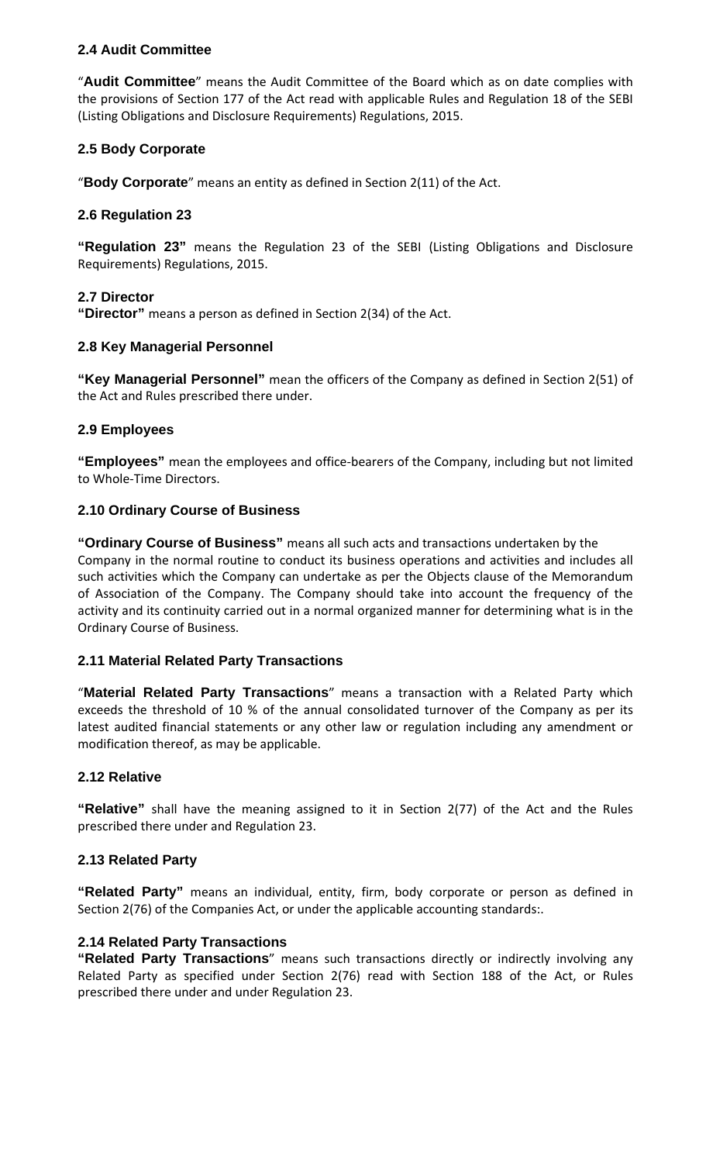## **2.4 Audit Committee**

"**Audit Committee**" means the Audit Committee of the Board which as on date complies with the provisions of Section 177 of the Act read with applicable Rules and Regulation 18 of the SEBI (Listing Obligations and Disclosure Requirements) Regulations, 2015.

## **2.5 Body Corporate**

"**Body Corporate**" means an entity as defined in Section 2(11) of the Act.

### **2.6 Regulation 23**

**"Regulation 23"** means the Regulation 23 of the SEBI (Listing Obligations and Disclosure Requirements) Regulations, 2015.

### **2.7 Director**

**"Director"** means a person as defined in Section 2(34) of the Act.

### **2.8 Key Managerial Personnel**

**"Key Managerial Personnel"** mean the officers of the Company as defined in Section 2(51) of the Act and Rules prescribed there under.

### **2.9 Employees**

**"Employees"** mean the employees and office‐bearers of the Company, including but not limited to Whole‐Time Directors.

### **2.10 Ordinary Course of Business**

**"Ordinary Course of Business"** means all such acts and transactions undertaken by the Company in the normal routine to conduct its business operations and activities and includes all such activities which the Company can undertake as per the Objects clause of the Memorandum of Association of the Company. The Company should take into account the frequency of the activity and its continuity carried out in a normal organized manner for determining what is in the Ordinary Course of Business.

### **2.11 Material Related Party Transactions**

"**Material Related Party Transactions**" means a transaction with a Related Party which exceeds the threshold of 10 % of the annual consolidated turnover of the Company as per its latest audited financial statements or any other law or regulation including any amendment or modification thereof, as may be applicable.

### **2.12 Relative**

**"Relative"** shall have the meaning assigned to it in Section 2(77) of the Act and the Rules prescribed there under and Regulation 23.

### **2.13 Related Party**

**"Related Party"** means an individual, entity, firm, body corporate or person as defined in Section 2(76) of the Companies Act, or under the applicable accounting standards:.

### **2.14 Related Party Transactions**

**"Related Party Transactions**" means such transactions directly or indirectly involving any Related Party as specified under Section 2(76) read with Section 188 of the Act, or Rules prescribed there under and under Regulation 23.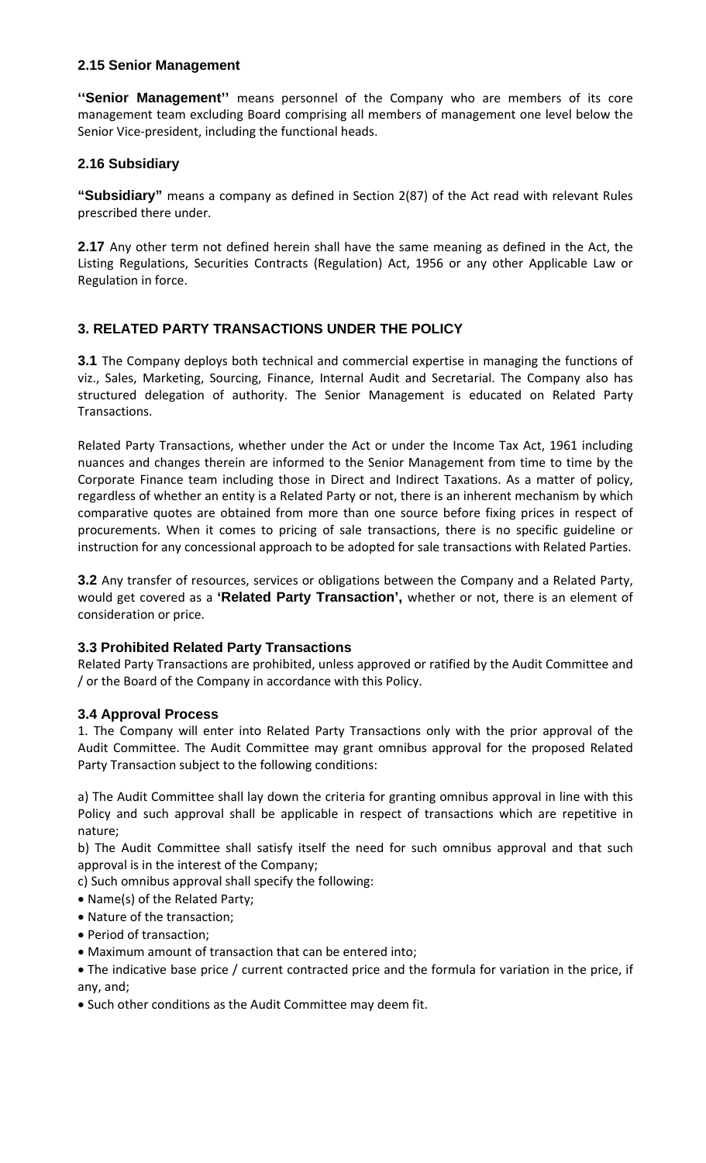#### **2.15 Senior Management**

**''Senior Management''** means personnel of the Company who are members of its core management team excluding Board comprising all members of management one level below the Senior Vice-president, including the functional heads.

### **2.16 Subsidiary**

**"Subsidiary"** means a company as defined in Section 2(87) of the Act read with relevant Rules prescribed there under.

**2.17** Any other term not defined herein shall have the same meaning as defined in the Act, the Listing Regulations, Securities Contracts (Regulation) Act, 1956 or any other Applicable Law or Regulation in force.

# **3. RELATED PARTY TRANSACTIONS UNDER THE POLICY**

**3.1** The Company deploys both technical and commercial expertise in managing the functions of viz., Sales, Marketing, Sourcing, Finance, Internal Audit and Secretarial. The Company also has structured delegation of authority. The Senior Management is educated on Related Party Transactions.

Related Party Transactions, whether under the Act or under the Income Tax Act, 1961 including nuances and changes therein are informed to the Senior Management from time to time by the Corporate Finance team including those in Direct and Indirect Taxations. As a matter of policy, regardless of whether an entity is a Related Party or not, there is an inherent mechanism by which comparative quotes are obtained from more than one source before fixing prices in respect of procurements. When it comes to pricing of sale transactions, there is no specific guideline or instruction for any concessional approach to be adopted for sale transactions with Related Parties.

**3.2** Any transfer of resources, services or obligations between the Company and a Related Party, would get covered as a **'Related Party Transaction',** whether or not, there is an element of consideration or price.

# **3.3 Prohibited Related Party Transactions**

Related Party Transactions are prohibited, unless approved or ratified by the Audit Committee and / or the Board of the Company in accordance with this Policy.

### **3.4 Approval Process**

1. The Company will enter into Related Party Transactions only with the prior approval of the Audit Committee. The Audit Committee may grant omnibus approval for the proposed Related Party Transaction subject to the following conditions:

a) The Audit Committee shall lay down the criteria for granting omnibus approval in line with this Policy and such approval shall be applicable in respect of transactions which are repetitive in nature;

b) The Audit Committee shall satisfy itself the need for such omnibus approval and that such approval is in the interest of the Company;

c) Such omnibus approval shall specify the following:

- Name(s) of the Related Party;
- Nature of the transaction;
- Period of transaction;
- Maximum amount of transaction that can be entered into;
- The indicative base price / current contracted price and the formula for variation in the price, if any, and;
- Such other conditions as the Audit Committee may deem fit.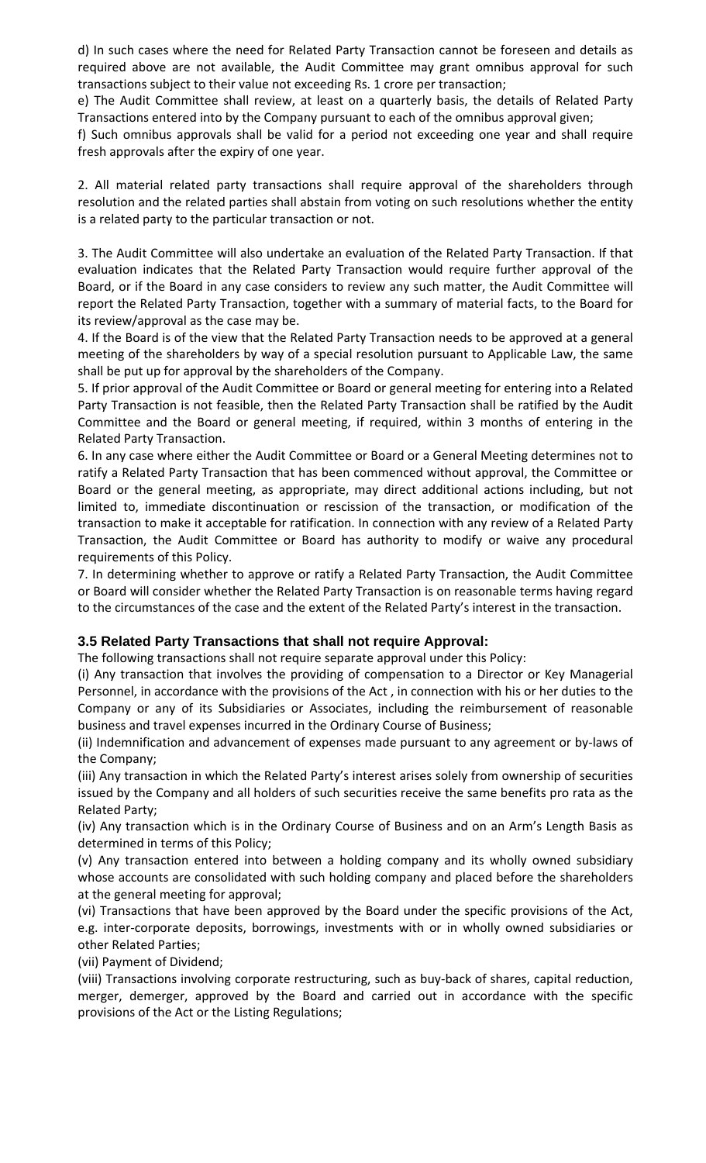d) In such cases where the need for Related Party Transaction cannot be foreseen and details as required above are not available, the Audit Committee may grant omnibus approval for such transactions subject to their value not exceeding Rs. 1 crore per transaction;

e) The Audit Committee shall review, at least on a quarterly basis, the details of Related Party Transactions entered into by the Company pursuant to each of the omnibus approval given;

f) Such omnibus approvals shall be valid for a period not exceeding one year and shall require fresh approvals after the expiry of one year.

2. All material related party transactions shall require approval of the shareholders through resolution and the related parties shall abstain from voting on such resolutions whether the entity is a related party to the particular transaction or not.

3. The Audit Committee will also undertake an evaluation of the Related Party Transaction. If that evaluation indicates that the Related Party Transaction would require further approval of the Board, or if the Board in any case considers to review any such matter, the Audit Committee will report the Related Party Transaction, together with a summary of material facts, to the Board for its review/approval as the case may be.

4. If the Board is of the view that the Related Party Transaction needs to be approved at a general meeting of the shareholders by way of a special resolution pursuant to Applicable Law, the same shall be put up for approval by the shareholders of the Company.

5. If prior approval of the Audit Committee or Board or general meeting for entering into a Related Party Transaction is not feasible, then the Related Party Transaction shall be ratified by the Audit Committee and the Board or general meeting, if required, within 3 months of entering in the Related Party Transaction.

6. In any case where either the Audit Committee or Board or a General Meeting determines not to ratify a Related Party Transaction that has been commenced without approval, the Committee or Board or the general meeting, as appropriate, may direct additional actions including, but not limited to, immediate discontinuation or rescission of the transaction, or modification of the transaction to make it acceptable for ratification. In connection with any review of a Related Party Transaction, the Audit Committee or Board has authority to modify or waive any procedural requirements of this Policy.

7. In determining whether to approve or ratify a Related Party Transaction, the Audit Committee or Board will consider whether the Related Party Transaction is on reasonable terms having regard to the circumstances of the case and the extent of the Related Party's interest in the transaction.

### **3.5 Related Party Transactions that shall not require Approval:**

The following transactions shall not require separate approval under this Policy:

(i) Any transaction that involves the providing of compensation to a Director or Key Managerial Personnel, in accordance with the provisions of the Act , in connection with his or her duties to the Company or any of its Subsidiaries or Associates, including the reimbursement of reasonable business and travel expenses incurred in the Ordinary Course of Business;

(ii) Indemnification and advancement of expenses made pursuant to any agreement or by‐laws of the Company;

(iii) Any transaction in which the Related Party's interest arises solely from ownership of securities issued by the Company and all holders of such securities receive the same benefits pro rata as the Related Party;

(iv) Any transaction which is in the Ordinary Course of Business and on an Arm's Length Basis as determined in terms of this Policy;

(v) Any transaction entered into between a holding company and its wholly owned subsidiary whose accounts are consolidated with such holding company and placed before the shareholders at the general meeting for approval;

(vi) Transactions that have been approved by the Board under the specific provisions of the Act, e.g. inter‐corporate deposits, borrowings, investments with or in wholly owned subsidiaries or other Related Parties;

(vii) Payment of Dividend;

(viii) Transactions involving corporate restructuring, such as buy‐back of shares, capital reduction, merger, demerger, approved by the Board and carried out in accordance with the specific provisions of the Act or the Listing Regulations;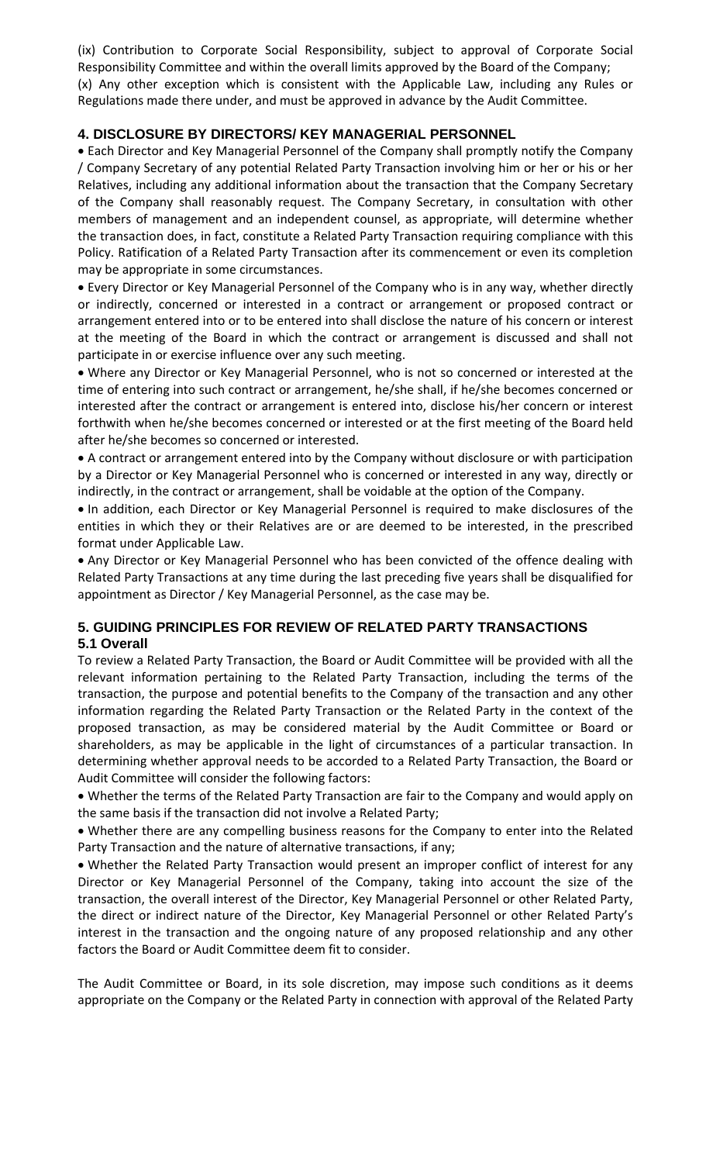(ix) Contribution to Corporate Social Responsibility, subject to approval of Corporate Social Responsibility Committee and within the overall limits approved by the Board of the Company; (x) Any other exception which is consistent with the Applicable Law, including any Rules or Regulations made there under, and must be approved in advance by the Audit Committee.

## **4. DISCLOSURE BY DIRECTORS/ KEY MANAGERIAL PERSONNEL**

• Each Director and Key Managerial Personnel of the Company shall promptly notify the Company / Company Secretary of any potential Related Party Transaction involving him or her or his or her Relatives, including any additional information about the transaction that the Company Secretary of the Company shall reasonably request. The Company Secretary, in consultation with other members of management and an independent counsel, as appropriate, will determine whether the transaction does, in fact, constitute a Related Party Transaction requiring compliance with this Policy. Ratification of a Related Party Transaction after its commencement or even its completion may be appropriate in some circumstances.

• Every Director or Key Managerial Personnel of the Company who is in any way, whether directly or indirectly, concerned or interested in a contract or arrangement or proposed contract or arrangement entered into or to be entered into shall disclose the nature of his concern or interest at the meeting of the Board in which the contract or arrangement is discussed and shall not participate in or exercise influence over any such meeting.

• Where any Director or Key Managerial Personnel, who is not so concerned or interested at the time of entering into such contract or arrangement, he/she shall, if he/she becomes concerned or interested after the contract or arrangement is entered into, disclose his/her concern or interest forthwith when he/she becomes concerned or interested or at the first meeting of the Board held after he/she becomes so concerned or interested.

• A contract or arrangement entered into by the Company without disclosure or with participation by a Director or Key Managerial Personnel who is concerned or interested in any way, directly or indirectly, in the contract or arrangement, shall be voidable at the option of the Company.

• In addition, each Director or Key Managerial Personnel is required to make disclosures of the entities in which they or their Relatives are or are deemed to be interested, in the prescribed format under Applicable Law.

• Any Director or Key Managerial Personnel who has been convicted of the offence dealing with Related Party Transactions at any time during the last preceding five years shall be disqualified for appointment as Director / Key Managerial Personnel, as the case may be.

## **5. GUIDING PRINCIPLES FOR REVIEW OF RELATED PARTY TRANSACTIONS 5.1 Overall**

To review a Related Party Transaction, the Board or Audit Committee will be provided with all the relevant information pertaining to the Related Party Transaction, including the terms of the transaction, the purpose and potential benefits to the Company of the transaction and any other information regarding the Related Party Transaction or the Related Party in the context of the proposed transaction, as may be considered material by the Audit Committee or Board or shareholders, as may be applicable in the light of circumstances of a particular transaction. In determining whether approval needs to be accorded to a Related Party Transaction, the Board or Audit Committee will consider the following factors:

• Whether the terms of the Related Party Transaction are fair to the Company and would apply on the same basis if the transaction did not involve a Related Party;

• Whether there are any compelling business reasons for the Company to enter into the Related Party Transaction and the nature of alternative transactions, if any;

• Whether the Related Party Transaction would present an improper conflict of interest for any Director or Key Managerial Personnel of the Company, taking into account the size of the transaction, the overall interest of the Director, Key Managerial Personnel or other Related Party, the direct or indirect nature of the Director, Key Managerial Personnel or other Related Party's interest in the transaction and the ongoing nature of any proposed relationship and any other factors the Board or Audit Committee deem fit to consider.

The Audit Committee or Board, in its sole discretion, may impose such conditions as it deems appropriate on the Company or the Related Party in connection with approval of the Related Party